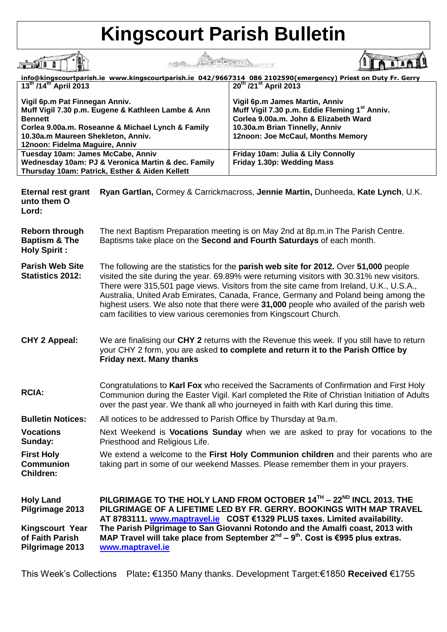## **Kingscourt Parish Bulletin**

行动条

HE READ THE REAL PROPERTY OF THE REAL PROPERTY OF THE REAL PROPERTY OF THE REAL PROPERTY OF THE REAL PROPERTY OF THE REAL PROPERTY OF THE REAL PROPERTY OF THE REAL PROPERTY OF THE REAL PROPERTY OF THE REAL PROPERTY OF THE

**A**<sup>1</sup>

 $\begin{picture}(20,20) \put(0,0){\line(1,0){10}} \put(15,0){\line(1,0){10}} \put(15,0){\line(1,0){10}} \put(15,0){\line(1,0){10}} \put(15,0){\line(1,0){10}} \put(15,0){\line(1,0){10}} \put(15,0){\line(1,0){10}} \put(15,0){\line(1,0){10}} \put(15,0){\line(1,0){10}} \put(15,0){\line(1,0){10}} \put(15,0){\line(1,0){10}} \put(15,0){\line(1$ <u>info@kingscourtparish.ie www.kingscourtparish.ie 042/9667314 086 2102590(emergency) Priest on Duty Fr. Gerry</u><br>13<sup>th</sup> /14<sup>th</sup> April 2013 **Vigil 6p.m Pat Finnegan Anniv. Vigil 6p.m James Martin, Anniv Muff Vigil 7.30 p.m. Eugene & Kathleen Lambe & Ann Muff Vigil 7.30 p.m. Eddie Fleming 1st Anniv. Corlea 9.00a.m. John & Elizabeth Ward Bennett Corlea 9.00a.m. Roseanne & Michael Lynch & Family 10.30a.m Brian Tinnelly, Anniv 10.30a.m Maureen Shekleton, Anniv. 12noon: Joe McCaul, Months Memory 12noon: Fidelma Maguire, Anniv Friday 10am: Julia & Lily Connolly Tuesday 10am: James McCabe, Anniv Wednesday 10am: PJ & Veronica Martin & dec. Family Friday 1.30p: Wedding Mass Thursday 10am: Patrick, Esther & Aiden Kellett**

**Eternal rest grant Ryan Gartlan,** Cormey & Carrickmacross, **Jennie Martin,** Dunheeda, **Kate Lynch**, U.K. **unto them O Lord:**

| <b>Reborn through</b><br><b>Baptism &amp; The</b><br><b>Holy Spirit:</b> | The next Baptism Preparation meeting is on May 2nd at 8p.m.in The Parish Centre.<br>Baptisms take place on the Second and Fourth Saturdays of each month.                                                                                                                                                                                                                                                                                                                                                                                   |
|--------------------------------------------------------------------------|---------------------------------------------------------------------------------------------------------------------------------------------------------------------------------------------------------------------------------------------------------------------------------------------------------------------------------------------------------------------------------------------------------------------------------------------------------------------------------------------------------------------------------------------|
| <b>Parish Web Site</b><br><b>Statistics 2012:</b>                        | The following are the statistics for the <b>parish web site for 2012.</b> Over 51,000 people<br>visited the site during the year. 69.89% were returning visitors with 30.31% new visitors.<br>There were 315,501 page views. Visitors from the site came from Ireland, U.K., U.S.A.,<br>Australia, United Arab Emirates, Canada, France, Germany and Poland being among the<br>highest users. We also note that there were 31,000 people who availed of the parish web<br>cam facilities to view various ceremonies from Kingscourt Church. |
| <b>CHY 2 Appeal:</b>                                                     | We are finalising our CHY 2 returns with the Revenue this week. If you still have to return<br>your CHY 2 form, you are asked to complete and return it to the Parish Office by<br><b>Friday next. Many thanks</b>                                                                                                                                                                                                                                                                                                                          |
| <b>RCIA:</b>                                                             | Congratulations to Karl Fox who received the Sacraments of Confirmation and First Holy<br>Communion during the Easter Vigil. Karl completed the Rite of Christian Initiation of Adults<br>over the past year. We thank all who journeyed in faith with Karl during this time.                                                                                                                                                                                                                                                               |
| <b>Bulletin Notices:</b>                                                 | All notices to be addressed to Parish Office by Thursday at 9a.m.                                                                                                                                                                                                                                                                                                                                                                                                                                                                           |
| <b>Vocations</b><br>Sunday:                                              | Next Weekend is <b>Vocations Sunday</b> when we are asked to pray for vocations to the<br>Priesthood and Religious Life.                                                                                                                                                                                                                                                                                                                                                                                                                    |
| <b>First Holy</b><br><b>Communion</b><br><b>Children:</b>                | We extend a welcome to the First Holy Communion children and their parents who are<br>taking part in some of our weekend Masses. Please remember them in your prayers.                                                                                                                                                                                                                                                                                                                                                                      |
| <b>Holy Land</b><br>Pilgrimage 2013                                      | PILGRIMAGE TO THE HOLY LAND FROM OCTOBER 14TH - 22 <sup>ND</sup> INCL 2013. THE<br>PILGRIMAGE OF A LIFETIME LED BY FR. GERRY. BOOKINGS WITH MAP TRAVEL<br>AT 8783111. www.maptravel.ie COST €1329 PLUS taxes. Limited availability.                                                                                                                                                                                                                                                                                                         |
| Kingscourt Year<br>of Faith Parish<br>Pilgrimage 2013                    | The Parish Pilgrimage to San Giovanni Rotondo and the Amalfi coast, 2013 with<br>MAP Travel will take place from September $2^{nd}$ – $9^{th}$ . Cost is €995 plus extras.<br>www.maptravel.ie                                                                                                                                                                                                                                                                                                                                              |

This Week's Collections Plate**:** €1350 Many thanks. Development Target:€1850 **Received** €1755